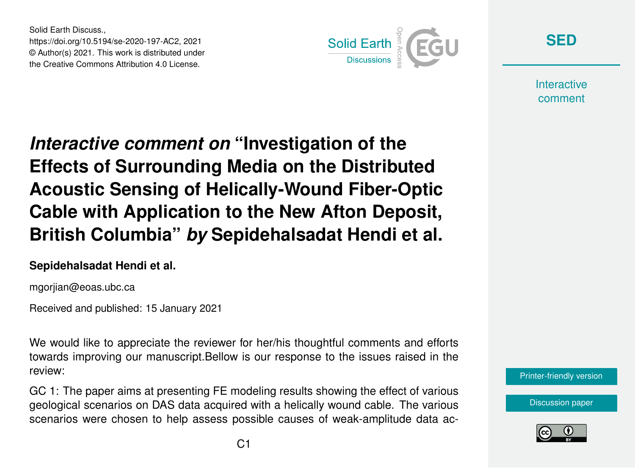Solid Earth Discuss., https://doi.org/10.5194/se-2020-197-AC2, 2021 © Author(s) 2021. This work is distributed under the Creative Commons Attribution 4.0 License.



**[SED](https://se.copernicus.org/preprints/)**

**Interactive** comment

*Interactive comment on* **"Investigation of the Effects of Surrounding Media on the Distributed Acoustic Sensing of Helically-Wound Fiber-Optic Cable with Application to the New Afton Deposit, British Columbia"** *by* **Sepidehalsadat Hendi et al.**

## **Sepidehalsadat Hendi et al.**

mgorjian@eoas.ubc.ca

Received and published: 15 January 2021

We would like to appreciate the reviewer for her/his thoughtful comments and efforts towards improving our manuscript.Bellow is our response to the issues raised in the review:

GC 1: The paper aims at presenting FE modeling results showing the effect of various geological scenarios on DAS data acquired with a helically wound cable. The various scenarios were chosen to help assess possible causes of weak-amplitude data ac-



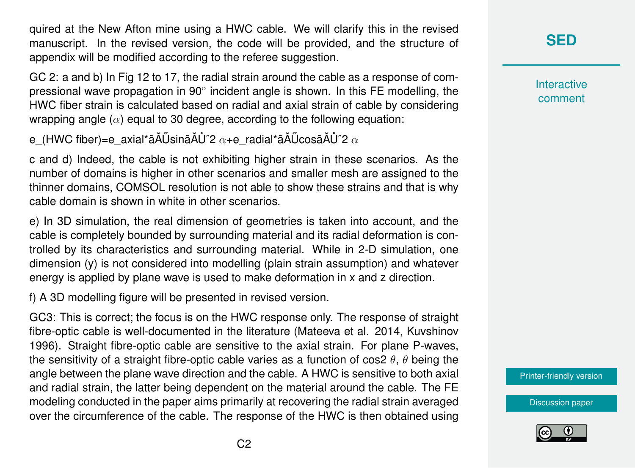quired at the New Afton mine using a HWC cable. We will clarify this in the revised manuscript. In the revised version, the code will be provided, and the structure of appendix will be modified according to the referee suggestion.

GC 2: a and b) In Fig 12 to 17, the radial strain around the cable as a response of compressional wave propagation in 90° incident angle is shown. In this FE modelling, the HWC fiber strain is calculated based on radial and axial strain of cable by considering wrapping angle  $(\alpha)$  equal to 30 degree, according to the following equation:

e (HWC fiber)=e\_axial\*ãĂŰsinãĂŮ^2  $\alpha$ +e\_radial\*ãĂŰcosã $\tilde{A}$ Ů^2  $\alpha$ 

c and d) Indeed, the cable is not exhibiting higher strain in these scenarios. As the number of domains is higher in other scenarios and smaller mesh are assigned to the thinner domains, COMSOL resolution is not able to show these strains and that is why cable domain is shown in white in other scenarios.

e) In 3D simulation, the real dimension of geometries is taken into account, and the cable is completely bounded by surrounding material and its radial deformation is controlled by its characteristics and surrounding material. While in 2-D simulation, one dimension (y) is not considered into modelling (plain strain assumption) and whatever energy is applied by plane wave is used to make deformation in x and z direction.

f) A 3D modelling figure will be presented in revised version.

GC3: This is correct; the focus is on the HWC response only. The response of straight fibre-optic cable is well-documented in the literature (Mateeva et al. 2014, Kuvshinov 1996). Straight fibre-optic cable are sensitive to the axial strain. For plane P-waves, the sensitivity of a straight fibre-optic cable varies as a function of cos2  $\theta$ ,  $\theta$  being the angle between the plane wave direction and the cable. A HWC is sensitive to both axial and radial strain, the latter being dependent on the material around the cable. The FE modeling conducted in the paper aims primarily at recovering the radial strain averaged over the circumference of the cable. The response of the HWC is then obtained using **[SED](https://se.copernicus.org/preprints/)**

**Interactive** comment

[Printer-friendly version](https://se.copernicus.org/preprints/se-2020-197/se-2020-197-AC2-print.pdf)

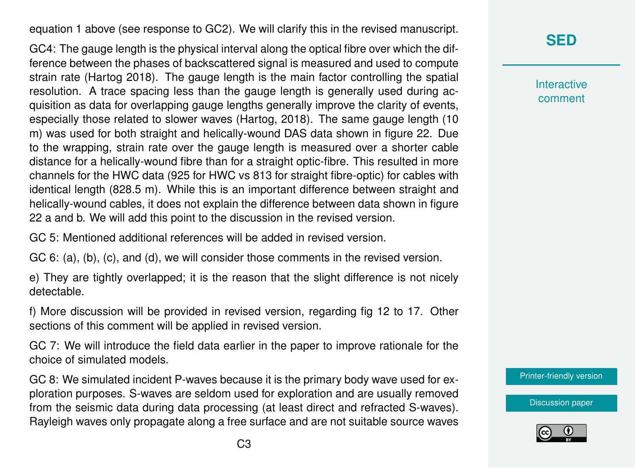equation 1 above (see response to GC2). We will clarify this in the revised manuscript.

GC4: The gauge length is the physical interval along the optical fibre over which the difference between the phases of backscattered signal is measured and used to compute strain rate (Hartog 2018). The gauge length is the main factor controlling the spatial resolution. A trace spacing less than the gauge length is generally used during acquisition as data for overlapping gauge lengths generally improve the clarity of events, especially those related to slower waves (Hartog, 2018). The same gauge length (10 m) was used for both straight and helically-wound DAS data shown in figure 22. Due to the wrapping, strain rate over the gauge length is measured over a shorter cable distance for a helically-wound fibre than for a straight optic-fibre. This resulted in more channels for the HWC data (925 for HWC vs 813 for straight fibre-optic) for cables with identical length (828.5 m). While this is an important difference between straight and helically-wound cables, it does not explain the difference between data shown in figure 22 a and b. We will add this point to the discussion in the revised version.

GC 5: Mentioned additional references will be added in revised version.

GC 6: (a), (b), (c), and (d), we will consider those comments in the revised version.

e) They are tightly overlapped; it is the reason that the slight difference is not nicely detectable.

f) More discussion will be provided in revised version, regarding fig 12 to 17. Other sections of this comment will be applied in revised version.

GC 7: We will introduce the field data earlier in the paper to improve rationale for the choice of simulated models.

GC 8: We simulated incident P-waves because it is the primary body wave used for exploration purposes. S-waves are seldom used for exploration and are usually removed from the seismic data during data processing (at least direct and refracted S-waves). Rayleigh waves only propagate along a free surface and are not suitable source waves **[SED](https://se.copernicus.org/preprints/)**

**Interactive** comment

[Printer-friendly version](https://se.copernicus.org/preprints/se-2020-197/se-2020-197-AC2-print.pdf)